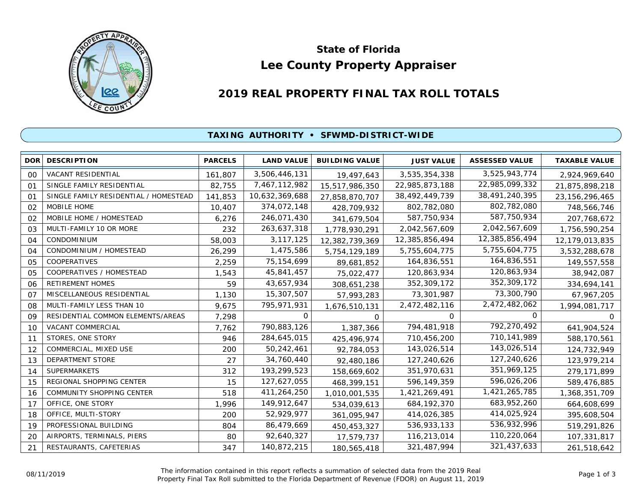

# **Lee County Property Appraiser State of Florida**

## **2019 REAL PROPERTY FINAL TAX ROLL TOTALS**

### **TAXING AUTHORITY • SFWMD-DISTRICT-WIDE**

| DOR <sup>1</sup> | <b>DESCRIPTION</b>                    | <b>PARCELS</b> | <b>LAND VALUE</b> | <b>BUILDING VALUE</b> | <b>JUST VALUE</b> | <b>ASSESSED VALUE</b> | <b>TAXABLE VALUE</b> |
|------------------|---------------------------------------|----------------|-------------------|-----------------------|-------------------|-----------------------|----------------------|
| 00               | VACANT RESIDENTIAL                    | 161,807        | 3,506,446,131     | 19,497,643            | 3,535,354,338     | 3,525,943,774         | 2,924,969,640        |
| 01               | SINGLE FAMILY RESIDENTIAL             | 82,755         | 7,467,112,982     | 15,517,986,350        | 22,985,873,188    | 22,985,099,332        | 21,875,898,218       |
| 01               | SINGLE FAMILY RESIDENTIAL / HOMESTEAD | 141,853        | 10,632,369,688    | 27,858,870,707        | 38,492,449,739    | 38,491,240,395        | 23, 156, 296, 465    |
| 02               | MOBILE HOME                           | 10,407         | 374,072,148       | 428,709,932           | 802,782,080       | 802,782,080           | 748,566,746          |
| 02               | MOBILE HOME / HOMESTEAD               | 6,276          | 246,071,430       | 341,679,504           | 587,750,934       | 587,750,934           | 207,768,672          |
| 03               | MULTI-FAMILY 10 OR MORE               | 232            | 263,637,318       | 1,778,930,291         | 2,042,567,609     | 2,042,567,609         | 1,756,590,254        |
| 04               | <b>CONDOMINIUM</b>                    | 58,003         | 3, 117, 125       | 12,382,739,369        | 12,385,856,494    | 12,385,856,494        | 12,179,013,835       |
| 04               | CONDOMINIUM / HOMESTEAD               | 26,299         | 1,475,586         | 5,754,129,189         | 5,755,604,775     | 5,755,604,775         | 3,532,288,678        |
| 05               | COOPERATIVES                          | 2,259          | 75, 154, 699      | 89,681,852            | 164,836,551       | 164,836,551           | 149,557,558          |
| 05               | COOPERATIVES / HOMESTEAD              | 1,543          | 45,841,457        | 75,022,477            | 120,863,934       | 120,863,934           | 38,942,087           |
| 06               | <b>RETIREMENT HOMES</b>               | 59             | 43,657,934        | 308,651,238           | 352,309,172       | 352,309,172           | 334,694,141          |
| O <sub>7</sub>   | MISCELLANEOUS RESIDENTIAL             | 1,130          | 15,307,507        | 57,993,283            | 73,301,987        | 73,300,790            | 67,967,205           |
| 08               | MULTI-FAMILY LESS THAN 10             | 9,675          | 795,971,931       | 1,676,510,131         | 2,472,482,116     | 2,472,482,062         | 1,994,081,717        |
| 09               | RESIDENTIAL COMMON ELEMENTS/AREAS     | 7,298          | 0                 | 0                     | 0                 | 0                     | 0                    |
| 10               | VACANT COMMERCIAL                     | 7,762          | 790,883,126       | 1,387,366             | 794,481,918       | 792,270,492           | 641,904,524          |
| 11               | STORES, ONE STORY                     | 946            | 284,645,015       | 425,496,974           | 710,456,200       | 710,141,989           | 588,170,561          |
| 12               | COMMERCIAL, MIXED USE                 | 200            | 50,242,461        | 92,784,053            | 143,026,514       | 143,026,514           | 124,732,949          |
| 13               | DEPARTMENT STORE                      | 27             | 34,760,440        | 92,480,186            | 127,240,626       | 127,240,626           | 123,979,214          |
| 14               | <b>SUPERMARKETS</b>                   | 312            | 193,299,523       | 158,669,602           | 351,970,631       | 351,969,125           | 279,171,899          |
| 15               | REGIONAL SHOPPING CENTER              | 15             | 127,627,055       | 468,399,151           | 596,149,359       | 596,026,206           | 589,476,885          |
| 16               | <b>COMMUNITY SHOPPING CENTER</b>      | 518            | 411,264,250       | 1,010,001,535         | 1,421,269,491     | 1,421,265,785         | 1,368,351,709        |
| 17               | OFFICE, ONE STORY                     | 1,996          | 149,912,647       | 534,039,613           | 684, 192, 370     | 683,952,260           | 664,608,699          |
| 18               | OFFICE, MULTI-STORY                   | 200            | 52,929,977        | 361,095,947           | 414,026,385       | 414,025,924           | 395,608,504          |
| 19               | PROFESSIONAL BUILDING                 | 804            | 86,479,669        | 450,453,327           | 536,933,133       | 536,932,996           | 519,291,826          |
| 20               | AIRPORTS, TERMINALS, PIERS            | 80             | 92,640,327        | 17,579,737            | 116,213,014       | 110,220,064           | 107,331,817          |
| 21               | RESTAURANTS, CAFETERIAS               | 347            | 140,872,215       | 180,565,418           | 321,487,994       | 321,437,633           | 261,518,642          |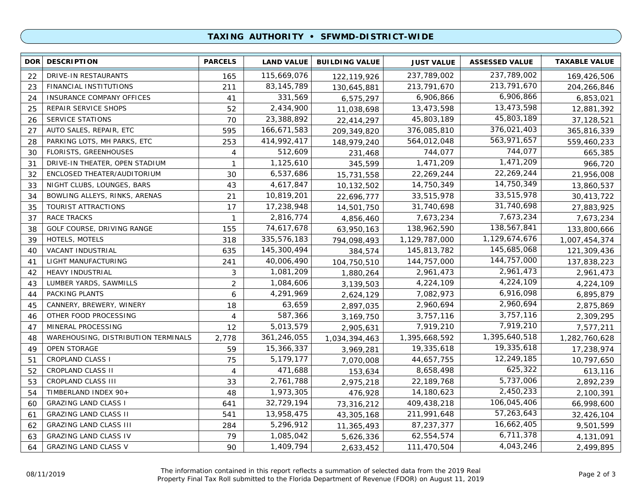### **TAXING AUTHORITY • SFWMD-DISTRICT-WIDE**

| <b>DOR</b> | <b>DESCRIPTION</b>                  | <b>PARCELS</b>    | <b>LAND VALUE</b> | <b>BUILDING VALUE</b> | <b>JUST VALUE</b> | <b>ASSESSED VALUE</b> | <b>TAXABLE VALUE</b> |
|------------|-------------------------------------|-------------------|-------------------|-----------------------|-------------------|-----------------------|----------------------|
| 22         | DRIVE-IN RESTAURANTS                | 165               | 115,669,076       | 122,119,926           | 237,789,002       | 237,789,002           | 169,426,506          |
| 23         | <b>FINANCIAL INSTITUTIONS</b>       | 211               | 83, 145, 789      | 130,645,881           | 213,791,670       | 213,791,670           | 204,266,846          |
| 24         | <b>INSURANCE COMPANY OFFICES</b>    | 41                | 331,569           | 6,575,297             | 6,906,866         | 6,906,866             | 6,853,021            |
| 25         | REPAIR SERVICE SHOPS                | 52                | 2,434,900         | 11,038,698            | 13,473,598        | 13,473,598            | 12,881,392           |
| 26         | SERVICE STATIONS                    | 70                | 23,388,892        | 22,414,297            | 45,803,189        | 45,803,189            | 37,128,521           |
| 27         | AUTO SALES, REPAIR, ETC             | 595               | 166,671,583       | 209,349,820           | 376,085,810       | 376,021,403           | 365,816,339          |
| 28         | PARKING LOTS, MH PARKS, ETC         | 253               | 414,992,417       | 148,979,240           | 564,012,048       | 563,971,657           | 559,460,233          |
| 30         | <b>FLORISTS, GREENHOUSES</b>        | 4                 | 512,609           | 231,468               | 744,077           | 744,077               | 665,385              |
| 31         | DRIVE-IN THEATER, OPEN STADIUM      | $\mathbf{1}$      | 1,125,610         | 345,599               | 1,471,209         | 1,471,209             | 966,720              |
| 32         | ENCLOSED THEATER/AUDITORIUM         | 30                | 6,537,686         | 15,731,558            | 22,269,244        | 22,269,244            | 21,956,008           |
| 33         | NIGHT CLUBS, LOUNGES, BARS          | 43                | 4,617,847         | 10,132,502            | 14,750,349        | 14,750,349            | 13,860,537           |
| 34         | BOWLING ALLEYS, RINKS, ARENAS       | 21                | 10,819,201        | 22,696,777            | 33,515,978        | 33,515,978            | 30,413,722           |
| 35         | TOURIST ATTRACTIONS                 | 17                | 17,238,948        | 14,501,750            | 31,740,698        | 31,740,698            | 27,883,925           |
| 37         | <b>RACE TRACKS</b>                  | $\mathbf{1}$      | 2,816,774         | 4,856,460             | 7,673,234         | 7,673,234             | 7,673,234            |
| 38         | GOLF COURSE, DRIVING RANGE          | 155               | 74,617,678        | 63,950,163            | 138,962,590       | 138,567,841           | 133,800,666          |
| 39         | HOTELS, MOTELS                      | 318               | 335,576,183       | 794,098,493           | 1,129,787,000     | 1,129,674,676         | 1,007,454,374        |
| 40         | VACANT INDUSTRIAL                   | 635               | 145,300,494       | 384,574               | 145,813,782       | 145,685,068           | 121,309,436          |
| 41         | LIGHT MANUFACTURING                 | 241               | 40,006,490        | 104,750,510           | 144,757,000       | 144,757,000           | 137,838,223          |
| 42         | HEAVY INDUSTRIAL                    | 3                 | 1,081,209         | 1,880,264             | 2,961,473         | 2,961,473             | 2,961,473            |
| 43         | LUMBER YARDS, SAWMILLS              | $\overline{2}$    | 1,084,606         | 3,139,503             | 4,224,109         | 4,224,109             | 4,224,109            |
| 44         | PACKING PLANTS                      | 6                 | 4,291,969         | 2,624,129             | 7,082,973         | 6,916,098             | 6,895,879            |
| 45         | CANNERY, BREWERY, WINERY            | 18                | 63,659            | 2,897,035             | 2,960,694         | 2,960,694             | 2,875,869            |
| 46         | OTHER FOOD PROCESSING               | 4                 | 587,366           | 3,169,750             | 3,757,116         | 3,757,116             | 2,309,295            |
| 47         | MINERAL PROCESSING                  | $12 \overline{ }$ | 5,013,579         | 2,905,631             | 7,919,210         | 7,919,210             | 7,577,211            |
| 48         | WAREHOUSING, DISTRIBUTION TERMINALS | 2,778             | 361,246,055       | 1,034,394,463         | 1,395,668,592     | 1,395,640,518         | 1,282,760,628        |
| 49         | <b>OPEN STORAGE</b>                 | 59                | 15,366,337        | 3,969,281             | 19,335,618        | 19,335,618            | 17,238,974           |
| 51         | <b>CROPLAND CLASS I</b>             | 75                | 5,179,177         | 7,070,008             | 44,657,755        | 12,249,185            | 10,797,650           |
| 52         | CROPLAND CLASS II                   | $\overline{4}$    | 471,688           | 153,634               | 8,658,498         | 625,322               | 613,116              |
| 53         | CROPLAND CLASS III                  | 33                | 2,761,788         | 2,975,218             | 22,189,768        | 5,737,006             | 2,892,239            |
| 54         | TIMBERLAND INDEX 90+                | 48                | 1,973,305         | 476,928               | 14,180,623        | 2,450,233             | 2,100,391            |
| 60         | <b>GRAZING LAND CLASS I</b>         | 641               | 32,729,194        | 73,316,212            | 409,438,218       | 106,045,406           | 66,998,600           |
| 61         | <b>GRAZING LAND CLASS II</b>        | 541               | 13,958,475        | 43,305,168            | 211,991,648       | 57,263,643            | 32,426,104           |
| 62         | <b>GRAZING LAND CLASS III</b>       | 284               | 5,296,912         | 11,365,493            | 87,237,377        | 16,662,405            | 9,501,599            |
| 63         | <b>GRAZING LAND CLASS IV</b>        | 79                | 1,085,042         | 5,626,336             | 62,554,574        | 6,711,378             | 4,131,091            |
| 64         | <b>GRAZING LAND CLASS V</b>         | 90                | 1,409,794         | 2,633,452             | 111,470,504       | 4,043,246             | 2,499,895            |